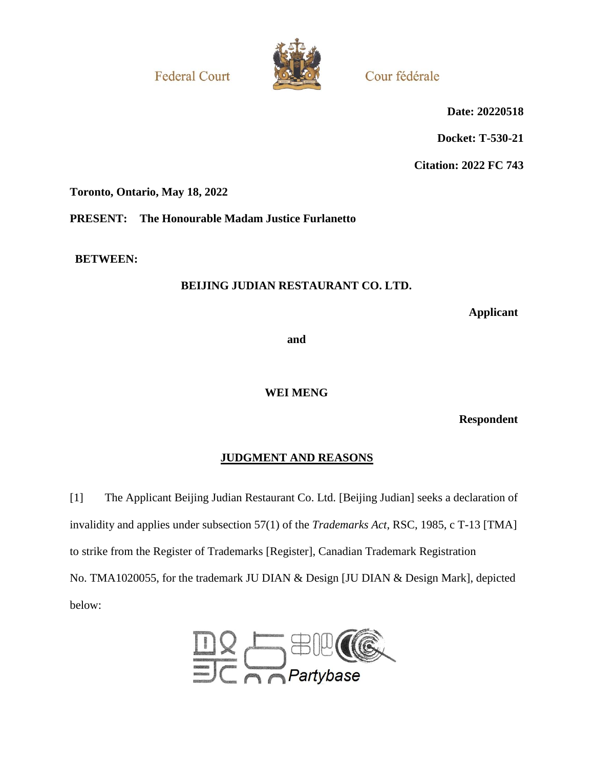**Federal Court** 



Cour fédérale

**Date: 20220518**

**Docket: T-530-21**

**Citation: 2022 FC 743**

**Toronto, Ontario, May 18, 2022**

**PRESENT: The Honourable Madam Justice Furlanetto**

**BETWEEN:**

## **BEIJING JUDIAN RESTAURANT CO. LTD.**

**Applicant**

**and**

# **WEI MENG**

**Respondent**

# **JUDGMENT AND REASONS**

[1] The Applicant Beijing Judian Restaurant Co. Ltd. [Beijing Judian] seeks a declaration of invalidity and applies under subsection 57(1) of the *Trademarks Act*, RSC, 1985, c T-13 [TMA] to strike from the Register of Trademarks [Register], Canadian Trademark Registration No. TMA1020055, for the trademark JU DIAN & Design [JU DIAN & Design Mark], depicted below:

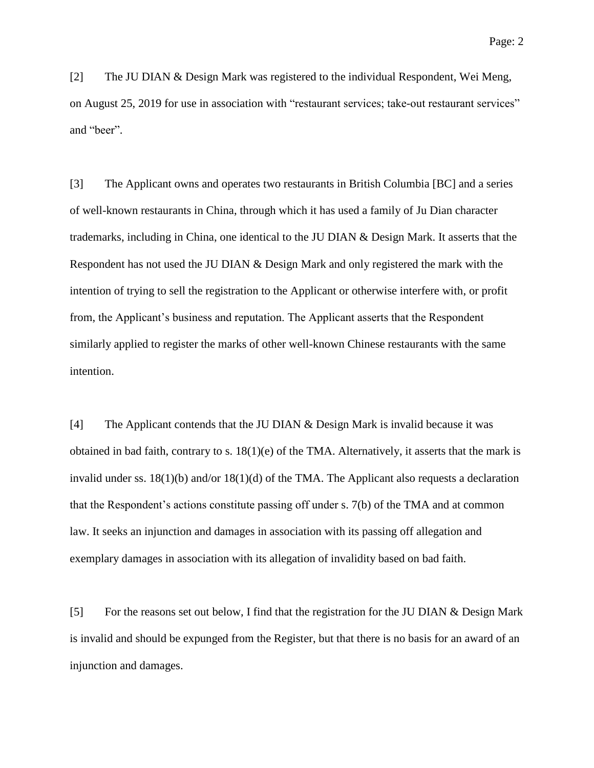[2] The JU DIAN & Design Mark was registered to the individual Respondent, Wei Meng, on August 25, 2019 for use in association with "restaurant services; take-out restaurant services" and "beer".

[3] The Applicant owns and operates two restaurants in British Columbia [BC] and a series of well-known restaurants in China, through which it has used a family of Ju Dian character trademarks, including in China, one identical to the JU DIAN & Design Mark. It asserts that the Respondent has not used the JU DIAN & Design Mark and only registered the mark with the intention of trying to sell the registration to the Applicant or otherwise interfere with, or profit from, the Applicant's business and reputation. The Applicant asserts that the Respondent similarly applied to register the marks of other well-known Chinese restaurants with the same intention.

[4] The Applicant contends that the JU DIAN & Design Mark is invalid because it was obtained in bad faith, contrary to s. 18(1)(e) of the TMA. Alternatively, it asserts that the mark is invalid under ss. 18(1)(b) and/or 18(1)(d) of the TMA. The Applicant also requests a declaration that the Respondent's actions constitute passing off under s. 7(b) of the TMA and at common law. It seeks an injunction and damages in association with its passing off allegation and exemplary damages in association with its allegation of invalidity based on bad faith.

[5] For the reasons set out below, I find that the registration for the JU DIAN & Design Mark is invalid and should be expunged from the Register, but that there is no basis for an award of an injunction and damages.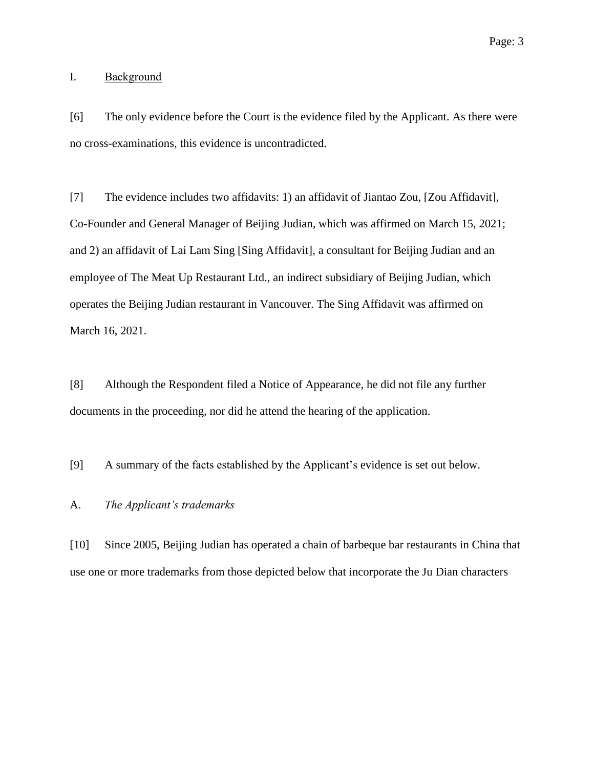### I. Background

[6] The only evidence before the Court is the evidence filed by the Applicant. As there were no cross-examinations, this evidence is uncontradicted.

[7] The evidence includes two affidavits: 1) an affidavit of Jiantao Zou, [Zou Affidavit], Co-Founder and General Manager of Beijing Judian, which was affirmed on March 15, 2021; and 2) an affidavit of Lai Lam Sing [Sing Affidavit], a consultant for Beijing Judian and an employee of The Meat Up Restaurant Ltd., an indirect subsidiary of Beijing Judian, which operates the Beijing Judian restaurant in Vancouver. The Sing Affidavit was affirmed on March 16, 2021.

[8] Although the Respondent filed a Notice of Appearance, he did not file any further documents in the proceeding, nor did he attend the hearing of the application.

[9] A summary of the facts established by the Applicant's evidence is set out below.

#### A. *The Applicant's trademarks*

[10] Since 2005, Beijing Judian has operated a chain of barbeque bar restaurants in China that use one or more trademarks from those depicted below that incorporate the Ju Dian characters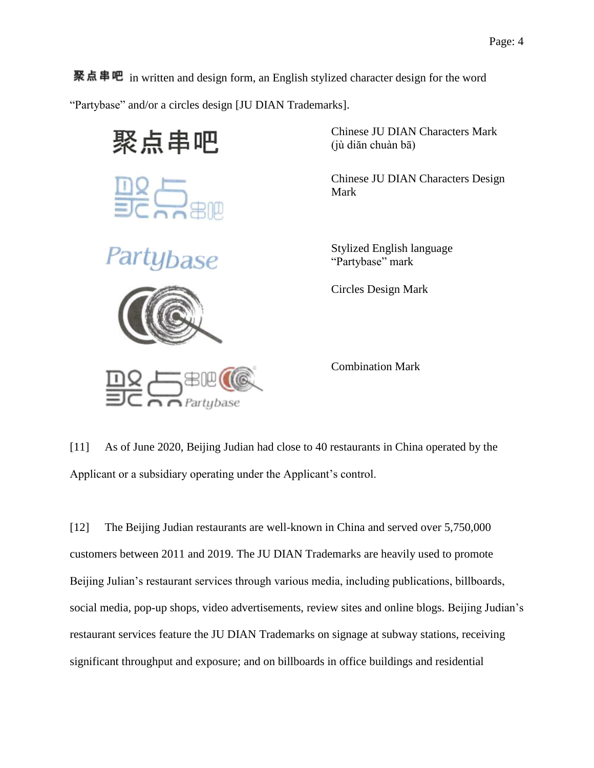**聚点串吧** in written and design form, an English stylized character design for the word "Partybase" and/or a circles design [JU DIAN Trademarks].

聚点串吧



Chinese JU DIAN Characters Mark (jù diăn chuàn bā)

Chinese JU DIAN Characters Design Mark

Stylized English language "Partybase" mark

Circles Design Mark

Combination Mark



[11] As of June 2020, Beijing Judian had close to 40 restaurants in China operated by the Applicant or a subsidiary operating under the Applicant's control.

[12] The Beijing Judian restaurants are well-known in China and served over 5,750,000 customers between 2011 and 2019. The JU DIAN Trademarks are heavily used to promote Beijing Julian's restaurant services through various media, including publications, billboards, social media, pop-up shops, video advertisements, review sites and online blogs. Beijing Judian's restaurant services feature the JU DIAN Trademarks on signage at subway stations, receiving significant throughput and exposure; and on billboards in office buildings and residential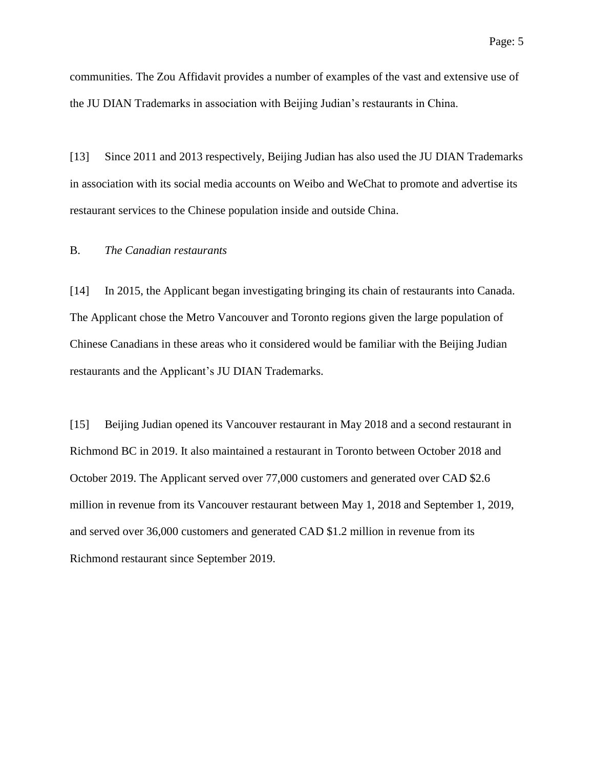communities. The Zou Affidavit provides a number of examples of the vast and extensive use of the JU DIAN Trademarks in association with Beijing Judian's restaurants in China.

[13] Since 2011 and 2013 respectively, Beijing Judian has also used the JU DIAN Trademarks in association with its social media accounts on Weibo and WeChat to promote and advertise its restaurant services to the Chinese population inside and outside China.

### B. *The Canadian restaurants*

[14] In 2015, the Applicant began investigating bringing its chain of restaurants into Canada. The Applicant chose the Metro Vancouver and Toronto regions given the large population of Chinese Canadians in these areas who it considered would be familiar with the Beijing Judian restaurants and the Applicant's JU DIAN Trademarks.

[15] Beijing Judian opened its Vancouver restaurant in May 2018 and a second restaurant in Richmond BC in 2019. It also maintained a restaurant in Toronto between October 2018 and October 2019. The Applicant served over 77,000 customers and generated over CAD \$2.6 million in revenue from its Vancouver restaurant between May 1, 2018 and September 1, 2019, and served over 36,000 customers and generated CAD \$1.2 million in revenue from its Richmond restaurant since September 2019.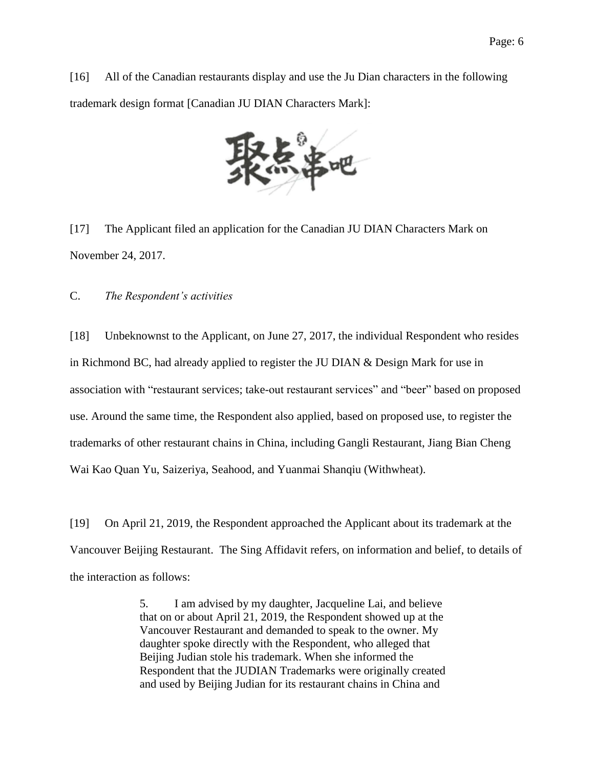

[17] The Applicant filed an application for the Canadian JU DIAN Characters Mark on November 24, 2017.

C. *The Respondent's activities*

[18] Unbeknownst to the Applicant, on June 27, 2017, the individual Respondent who resides in Richmond BC, had already applied to register the JU DIAN & Design Mark for use in association with "restaurant services; take-out restaurant services" and "beer" based on proposed use. Around the same time, the Respondent also applied, based on proposed use, to register the trademarks of other restaurant chains in China, including Gangli Restaurant, Jiang Bian Cheng Wai Kao Quan Yu, Saizeriya, Seahood, and Yuanmai Shanqiu (Withwheat).

[19] On April 21, 2019, the Respondent approached the Applicant about its trademark at the Vancouver Beijing Restaurant. The Sing Affidavit refers, on information and belief, to details of the interaction as follows:

> 5. I am advised by my daughter, Jacqueline Lai, and believe that on or about April 21, 2019, the Respondent showed up at the Vancouver Restaurant and demanded to speak to the owner. My daughter spoke directly with the Respondent, who alleged that Beijing Judian stole his trademark. When she informed the Respondent that the JUDIAN Trademarks were originally created and used by Beijing Judian for its restaurant chains in China and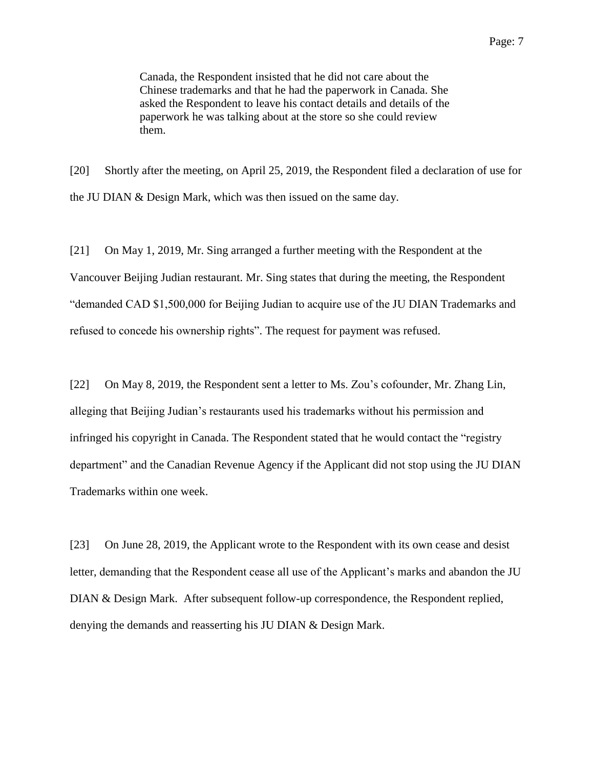Canada, the Respondent insisted that he did not care about the Chinese trademarks and that he had the paperwork in Canada. She asked the Respondent to leave his contact details and details of the paperwork he was talking about at the store so she could review them.

[20] Shortly after the meeting, on April 25, 2019, the Respondent filed a declaration of use for the JU DIAN & Design Mark, which was then issued on the same day.

[21] On May 1, 2019, Mr. Sing arranged a further meeting with the Respondent at the Vancouver Beijing Judian restaurant. Mr. Sing states that during the meeting, the Respondent "demanded CAD \$1,500,000 for Beijing Judian to acquire use of the JU DIAN Trademarks and refused to concede his ownership rights". The request for payment was refused.

[22] On May 8, 2019, the Respondent sent a letter to Ms. Zou's cofounder, Mr. Zhang Lin, alleging that Beijing Judian's restaurants used his trademarks without his permission and infringed his copyright in Canada. The Respondent stated that he would contact the "registry department" and the Canadian Revenue Agency if the Applicant did not stop using the JU DIAN Trademarks within one week.

[23] On June 28, 2019, the Applicant wrote to the Respondent with its own cease and desist letter, demanding that the Respondent cease all use of the Applicant's marks and abandon the JU DIAN & Design Mark. After subsequent follow-up correspondence, the Respondent replied, denying the demands and reasserting his JU DIAN & Design Mark.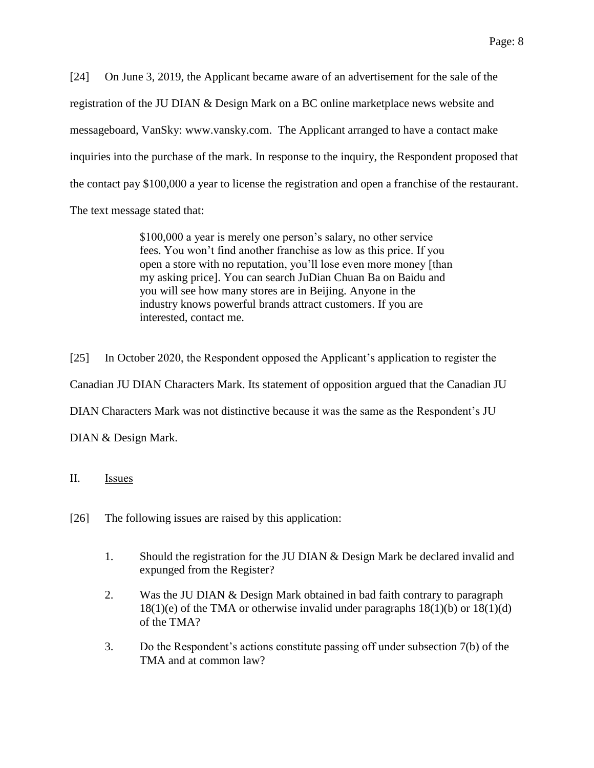[24] On June 3, 2019, the Applicant became aware of an advertisement for the sale of the registration of the JU DIAN & Design Mark on a BC online marketplace news website and messageboard, VanSky: www.vansky.com. The Applicant arranged to have a contact make inquiries into the purchase of the mark. In response to the inquiry, the Respondent proposed that the contact pay \$100,000 a year to license the registration and open a franchise of the restaurant. The text message stated that:

> \$100,000 a year is merely one person's salary, no other service fees. You won't find another franchise as low as this price. If you open a store with no reputation, you'll lose even more money [than my asking price]. You can search JuDian Chuan Ba on Baidu and you will see how many stores are in Beijing. Anyone in the industry knows powerful brands attract customers. If you are interested, contact me.

[25] In October 2020, the Respondent opposed the Applicant's application to register the Canadian JU DIAN Characters Mark. Its statement of opposition argued that the Canadian JU DIAN Characters Mark was not distinctive because it was the same as the Respondent's JU DIAN & Design Mark.

II. Issues

- [26] The following issues are raised by this application:
	- 1. Should the registration for the JU DIAN & Design Mark be declared invalid and expunged from the Register?
	- 2. Was the JU DIAN & Design Mark obtained in bad faith contrary to paragraph 18(1)(e) of the TMA or otherwise invalid under paragraphs 18(1)(b) or 18(1)(d) of the TMA?
	- 3. Do the Respondent's actions constitute passing off under subsection 7(b) of the TMA and at common law?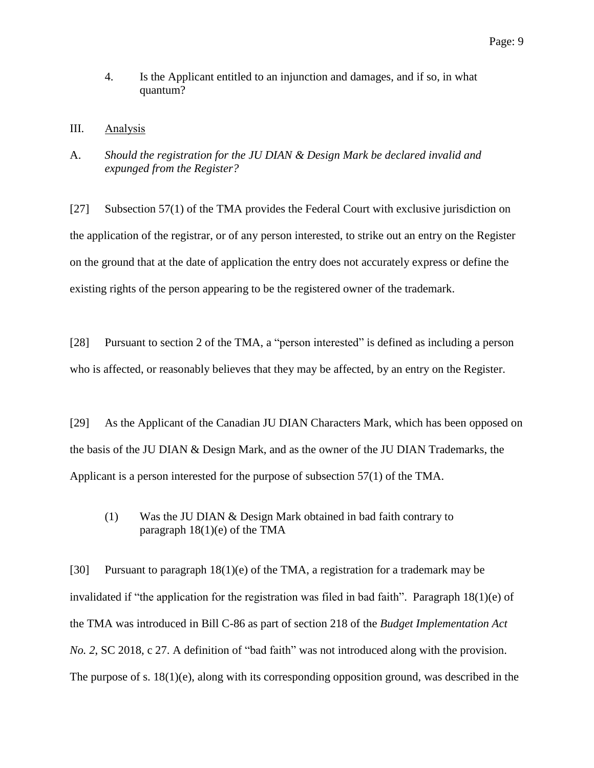4. Is the Applicant entitled to an injunction and damages, and if so, in what quantum?

#### III. Analysis

A. *Should the registration for the JU DIAN & Design Mark be declared invalid and expunged from the Register?*

[27] Subsection 57(1) of the TMA provides the Federal Court with exclusive jurisdiction on the application of the registrar, or of any person interested, to strike out an entry on the Register on the ground that at the date of application the entry does not accurately express or define the existing rights of the person appearing to be the registered owner of the trademark.

[28] Pursuant to section 2 of the TMA, a "person interested" is defined as including a person who is affected, or reasonably believes that they may be affected, by an entry on the Register.

[29] As the Applicant of the Canadian JU DIAN Characters Mark, which has been opposed on the basis of the JU DIAN & Design Mark, and as the owner of the JU DIAN Trademarks, the Applicant is a person interested for the purpose of subsection 57(1) of the TMA.

(1) Was the JU DIAN & Design Mark obtained in bad faith contrary to paragraph  $18(1)(e)$  of the TMA

[30] Pursuant to paragraph  $18(1)(e)$  of the TMA, a registration for a trademark may be invalidated if "the application for the registration was filed in bad faith". Paragraph 18(1)(e) of the TMA was introduced in Bill C-86 as part of section 218 of the *Budget Implementation Act No. 2*, SC 2018, c 27. A definition of "bad faith" was not introduced along with the provision. The purpose of s. 18(1)(e), along with its corresponding opposition ground, was described in the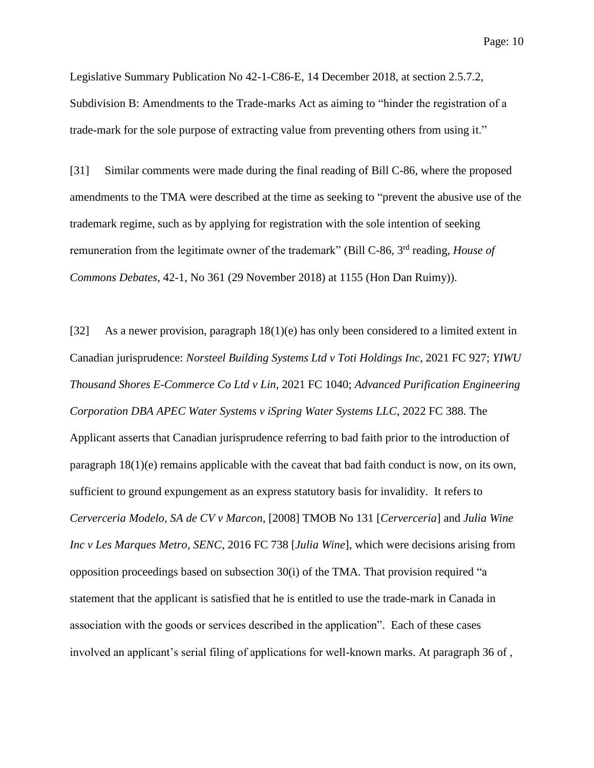Legislative Summary Publication No 42-1-C86-E, 14 December 2018, at section 2.5.7.2, Subdivision B: Amendments to the Trade-marks Act as aiming to "hinder the registration of a trade-mark for the sole purpose of extracting value from preventing others from using it."

[31] Similar comments were made during the final reading of Bill C-86, where the proposed amendments to the TMA were described at the time as seeking to "prevent the abusive use of the trademark regime, such as by applying for registration with the sole intention of seeking remuneration from the legitimate owner of the trademark" (Bill C-86, 3rd reading, *House of Commons Debates*, 42-1, No 361 (29 November 2018) at 1155 (Hon Dan Ruimy)).

[32] As a newer provision, paragraph 18(1)(e) has only been considered to a limited extent in Canadian jurisprudence: *Norsteel Building Systems Ltd v Toti Holdings Inc*, 2021 FC 927; *YIWU Thousand Shores E-Commerce Co Ltd v Lin*, 2021 FC 1040; *Advanced Purification Engineering Corporation DBA APEC Water Systems v iSpring Water Systems LLC*, 2022 FC 388. The Applicant asserts that Canadian jurisprudence referring to bad faith prior to the introduction of paragraph 18(1)(e) remains applicable with the caveat that bad faith conduct is now, on its own, sufficient to ground expungement as an express statutory basis for invalidity. It refers to *Cerverceria Modelo, SA de CV v Marcon*, [2008] TMOB No 131 [*Cerverceria*] and *Julia Wine Inc v Les Marques Metro, SENC*, 2016 FC 738 [*Julia Wine*], which were decisions arising from opposition proceedings based on subsection 30(i) of the TMA. That provision required "a statement that the applicant is satisfied that he is entitled to use the trade-mark in Canada in association with the goods or services described in the application". Each of these cases involved an applicant's serial filing of applications for well-known marks. At paragraph 36 of ,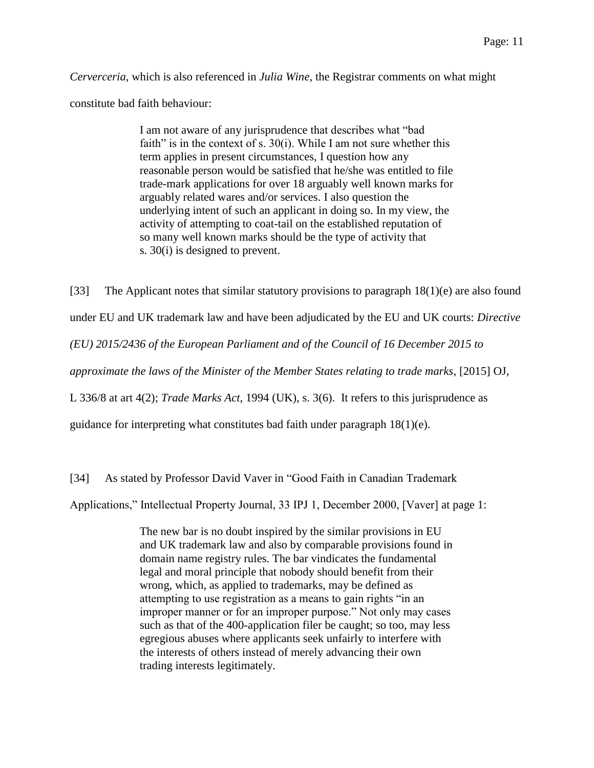*Cerverceria*, which is also referenced in *Julia Wine*, the Registrar comments on what might constitute bad faith behaviour:

> I am not aware of any jurisprudence that describes what "bad faith" is in the context of s. 30(i). While I am not sure whether this term applies in present circumstances, I question how any reasonable person would be satisfied that he/she was entitled to file trade-mark applications for over 18 arguably well known marks for arguably related wares and/or services. I also question the underlying intent of such an applicant in doing so. In my view, the activity of attempting to coat-tail on the established reputation of so many well known marks should be the type of activity that s. 30(i) is designed to prevent.

[33] The Applicant notes that similar statutory provisions to paragraph 18(1)(e) are also found under EU and UK trademark law and have been adjudicated by the EU and UK courts: *Directive (EU) 2015/2436 of the European Parliament and of the Council of 16 December 2015 to approximate the laws of the Minister of the Member States relating to trade marks*, [2015] OJ, L 336/8 at art 4(2); *Trade Marks Act,* 1994 (UK), s. 3(6). It refers to this jurisprudence as guidance for interpreting what constitutes bad faith under paragraph  $18(1)(e)$ .

[34] As stated by Professor David Vaver in "Good Faith in Canadian Trademark

Applications," Intellectual Property Journal, 33 IPJ 1, December 2000, [Vaver] at page 1:

The new bar is no doubt inspired by the similar provisions in EU and UK trademark law and also by comparable provisions found in domain name registry rules. The bar vindicates the fundamental legal and moral principle that nobody should benefit from their wrong, which, as applied to trademarks, may be defined as attempting to use registration as a means to gain rights "in an improper manner or for an improper purpose." Not only may cases such as that of the 400-application filer be caught; so too, may less egregious abuses where applicants seek unfairly to interfere with the interests of others instead of merely advancing their own trading interests legitimately.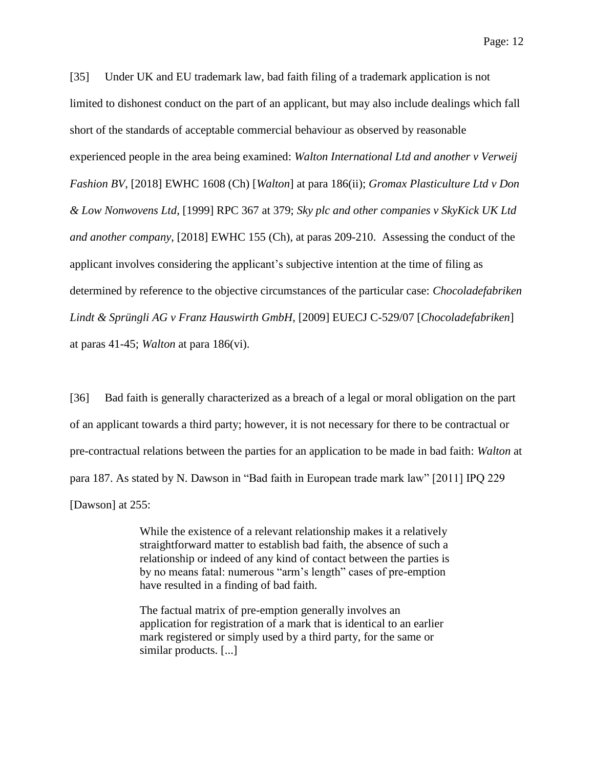[35] Under UK and EU trademark law, bad faith filing of a trademark application is not limited to dishonest conduct on the part of an applicant, but may also include dealings which fall short of the standards of acceptable commercial behaviour as observed by reasonable experienced people in the area being examined: *Walton International Ltd and another v Verweij Fashion BV*, [2018] EWHC 1608 (Ch) [*Walton*] at para 186(ii); *Gromax Plasticulture Ltd v Don & Low Nonwovens Ltd*, [1999] RPC 367 at 379; *Sky plc and other companies v SkyKick UK Ltd and another company*, [2018] EWHC 155 (Ch), at paras 209-210. Assessing the conduct of the applicant involves considering the applicant's subjective intention at the time of filing as determined by reference to the objective circumstances of the particular case: *Chocoladefabriken Lindt & Sprüngli AG v Franz Hauswirth GmbH*, [2009] EUECJ C-529/07 [*Chocoladefabriken*] at paras 41-45; *Walton* at para 186(vi).

[36] Bad faith is generally characterized as a breach of a legal or moral obligation on the part of an applicant towards a third party; however, it is not necessary for there to be contractual or pre-contractual relations between the parties for an application to be made in bad faith: *Walton* at para 187. As stated by N. Dawson in "Bad faith in European trade mark law" [2011] IPQ 229 [Dawson] at 255:

> While the existence of a relevant relationship makes it a relatively straightforward matter to establish bad faith, the absence of such a relationship or indeed of any kind of contact between the parties is by no means fatal: numerous "arm's length" cases of pre-emption have resulted in a finding of bad faith.

The factual matrix of pre-emption generally involves an application for registration of a mark that is identical to an earlier mark registered or simply used by a third party, for the same or similar products. [...]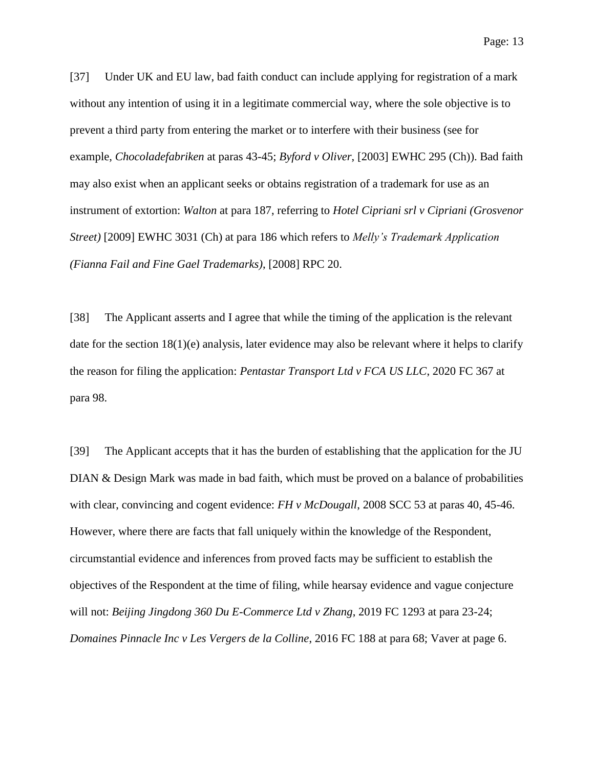[37] Under UK and EU law, bad faith conduct can include applying for registration of a mark without any intention of using it in a legitimate commercial way, where the sole objective is to prevent a third party from entering the market or to interfere with their business (see for example, *Chocoladefabriken* at paras 43-45; *Byford v Oliver*, [2003] EWHC 295 (Ch)). Bad faith may also exist when an applicant seeks or obtains registration of a trademark for use as an instrument of extortion: *Walton* at para 187, referring to *Hotel Cipriani srl v Cipriani (Grosvenor Street)* [2009] EWHC 3031 (Ch) at para 186 which refers to *Melly's Trademark Application (Fianna Fail and Fine Gael Trademarks)*, [2008] RPC 20.

[38] The Applicant asserts and I agree that while the timing of the application is the relevant date for the section 18(1)(e) analysis, later evidence may also be relevant where it helps to clarify the reason for filing the application: *Pentastar Transport Ltd v FCA US LLC*, 2020 FC 367 at para 98.

[39] The Applicant accepts that it has the burden of establishing that the application for the JU DIAN & Design Mark was made in bad faith, which must be proved on a balance of probabilities with clear, convincing and cogent evidence: *FH v McDougall*, 2008 SCC 53 at paras 40, 45-46. However, where there are facts that fall uniquely within the knowledge of the Respondent, circumstantial evidence and inferences from proved facts may be sufficient to establish the objectives of the Respondent at the time of filing, while hearsay evidence and vague conjecture will not: *Beijing Jingdong 360 Du E-Commerce Ltd v Zhang*, 2019 FC 1293 at para 23-24; *Domaines Pinnacle Inc v Les Vergers de la Colline*, 2016 FC 188 at para 68; Vaver at page 6.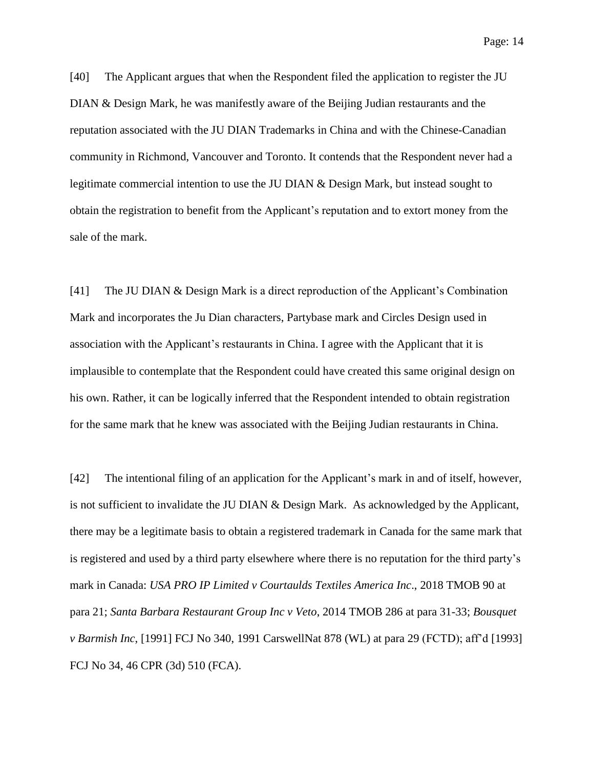Page: 14

[40] The Applicant argues that when the Respondent filed the application to register the JU DIAN & Design Mark, he was manifestly aware of the Beijing Judian restaurants and the reputation associated with the JU DIAN Trademarks in China and with the Chinese-Canadian community in Richmond, Vancouver and Toronto. It contends that the Respondent never had a legitimate commercial intention to use the JU DIAN & Design Mark, but instead sought to obtain the registration to benefit from the Applicant's reputation and to extort money from the sale of the mark.

[41] The JU DIAN & Design Mark is a direct reproduction of the Applicant's Combination Mark and incorporates the Ju Dian characters, Partybase mark and Circles Design used in association with the Applicant's restaurants in China. I agree with the Applicant that it is implausible to contemplate that the Respondent could have created this same original design on his own. Rather, it can be logically inferred that the Respondent intended to obtain registration for the same mark that he knew was associated with the Beijing Judian restaurants in China.

[42] The intentional filing of an application for the Applicant's mark in and of itself, however, is not sufficient to invalidate the JU DIAN & Design Mark. As acknowledged by the Applicant, there may be a legitimate basis to obtain a registered trademark in Canada for the same mark that is registered and used by a third party elsewhere where there is no reputation for the third party's mark in Canada: *USA PRO IP Limited v Courtaulds Textiles America Inc*., 2018 TMOB 90 at para 21; *Santa Barbara Restaurant Group Inc v Veto*, 2014 TMOB 286 at para 31-33; *Bousquet v Barmish Inc*, [1991] FCJ No 340, 1991 CarswellNat 878 (WL) at para 29 (FCTD); aff'd [1993] FCJ No 34, 46 CPR (3d) 510 (FCA).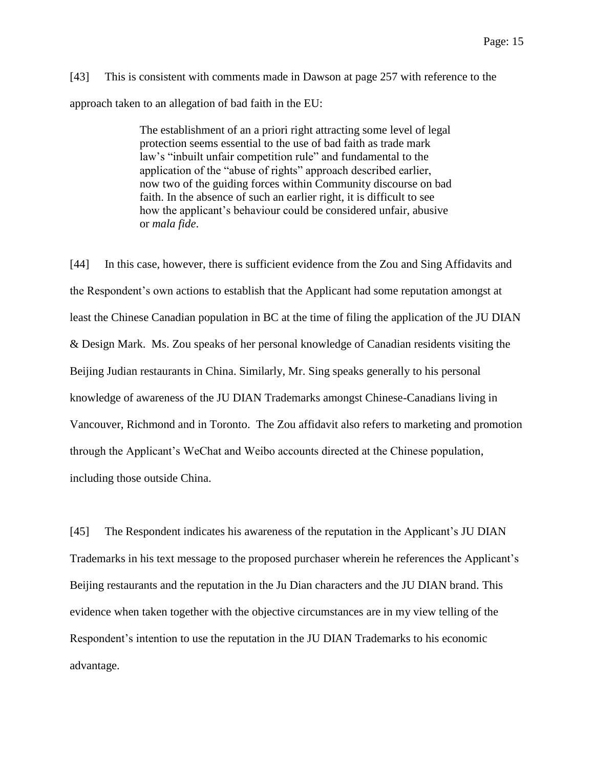[43] This is consistent with comments made in Dawson at page 257 with reference to the approach taken to an allegation of bad faith in the EU:

> The establishment of an a priori right attracting some level of legal protection seems essential to the use of bad faith as trade mark law's "inbuilt unfair competition rule" and fundamental to the application of the "abuse of rights" approach described earlier, now two of the guiding forces within Community discourse on bad faith. In the absence of such an earlier right, it is difficult to see how the applicant's behaviour could be considered unfair, abusive or *mala fide*.

[44] In this case, however, there is sufficient evidence from the Zou and Sing Affidavits and the Respondent's own actions to establish that the Applicant had some reputation amongst at least the Chinese Canadian population in BC at the time of filing the application of the JU DIAN & Design Mark. Ms. Zou speaks of her personal knowledge of Canadian residents visiting the Beijing Judian restaurants in China. Similarly, Mr. Sing speaks generally to his personal knowledge of awareness of the JU DIAN Trademarks amongst Chinese-Canadians living in Vancouver, Richmond and in Toronto. The Zou affidavit also refers to marketing and promotion through the Applicant's WeChat and Weibo accounts directed at the Chinese population, including those outside China.

[45] The Respondent indicates his awareness of the reputation in the Applicant's JU DIAN Trademarks in his text message to the proposed purchaser wherein he references the Applicant's Beijing restaurants and the reputation in the Ju Dian characters and the JU DIAN brand. This evidence when taken together with the objective circumstances are in my view telling of the Respondent's intention to use the reputation in the JU DIAN Trademarks to his economic advantage.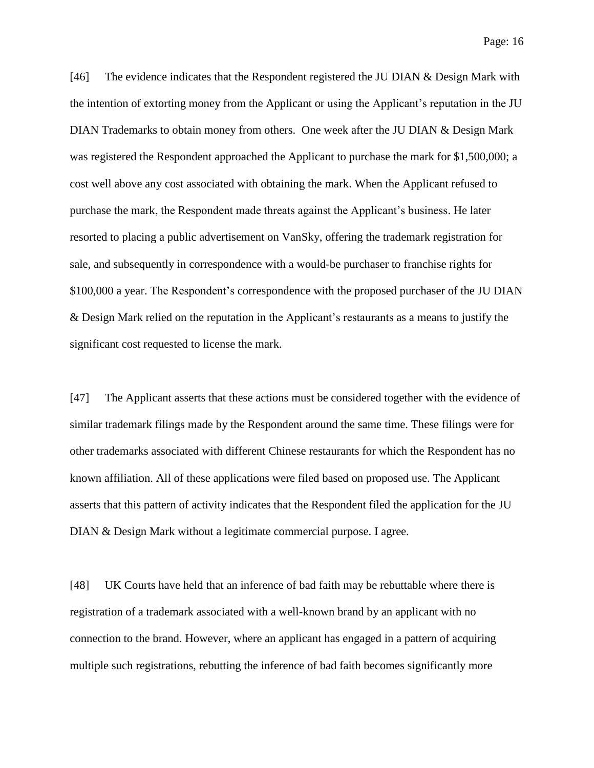Page: 16

[46] The evidence indicates that the Respondent registered the JU DIAN & Design Mark with the intention of extorting money from the Applicant or using the Applicant's reputation in the JU DIAN Trademarks to obtain money from others. One week after the JU DIAN & Design Mark was registered the Respondent approached the Applicant to purchase the mark for \$1,500,000; a cost well above any cost associated with obtaining the mark. When the Applicant refused to purchase the mark, the Respondent made threats against the Applicant's business. He later resorted to placing a public advertisement on VanSky, offering the trademark registration for sale, and subsequently in correspondence with a would-be purchaser to franchise rights for \$100,000 a year. The Respondent's correspondence with the proposed purchaser of the JU DIAN & Design Mark relied on the reputation in the Applicant's restaurants as a means to justify the significant cost requested to license the mark.

[47] The Applicant asserts that these actions must be considered together with the evidence of similar trademark filings made by the Respondent around the same time. These filings were for other trademarks associated with different Chinese restaurants for which the Respondent has no known affiliation. All of these applications were filed based on proposed use. The Applicant asserts that this pattern of activity indicates that the Respondent filed the application for the JU DIAN & Design Mark without a legitimate commercial purpose. I agree.

[48] UK Courts have held that an inference of bad faith may be rebuttable where there is registration of a trademark associated with a well-known brand by an applicant with no connection to the brand. However, where an applicant has engaged in a pattern of acquiring multiple such registrations, rebutting the inference of bad faith becomes significantly more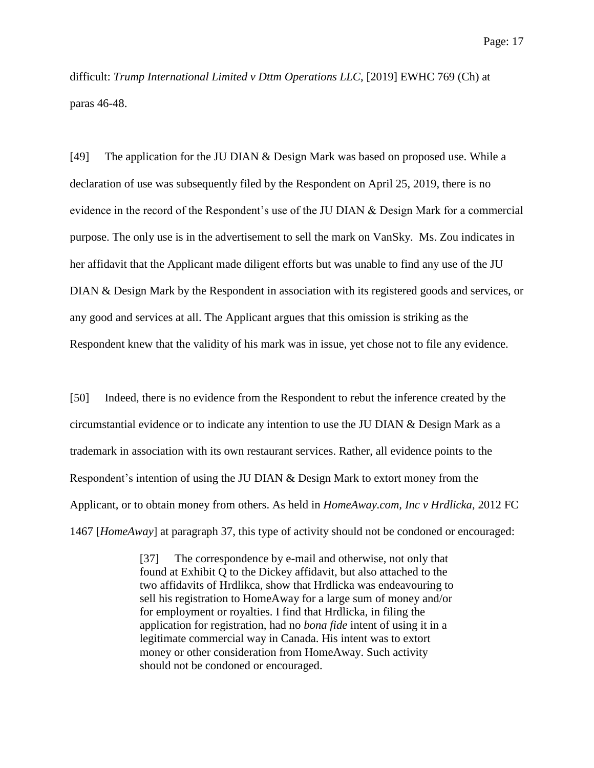Page: 17

difficult: *Trump International Limited v Dttm Operations LLC*, [2019] EWHC 769 (Ch) at paras 46-48.

[49] The application for the JU DIAN & Design Mark was based on proposed use. While a declaration of use was subsequently filed by the Respondent on April 25, 2019, there is no evidence in the record of the Respondent's use of the JU DIAN & Design Mark for a commercial purpose. The only use is in the advertisement to sell the mark on VanSky. Ms. Zou indicates in her affidavit that the Applicant made diligent efforts but was unable to find any use of the JU DIAN & Design Mark by the Respondent in association with its registered goods and services, or any good and services at all. The Applicant argues that this omission is striking as the Respondent knew that the validity of his mark was in issue, yet chose not to file any evidence.

[50] Indeed, there is no evidence from the Respondent to rebut the inference created by the circumstantial evidence or to indicate any intention to use the JU DIAN & Design Mark as a trademark in association with its own restaurant services. Rather, all evidence points to the Respondent's intention of using the JU DIAN & Design Mark to extort money from the Applicant, or to obtain money from others. As held in *HomeAway.com, Inc v Hrdlicka*, 2012 FC 1467 [*HomeAway*] at paragraph 37, this type of activity should not be condoned or encouraged:

> [37] The correspondence by e-mail and otherwise, not only that found at Exhibit Q to the Dickey affidavit, but also attached to the two affidavits of Hrdlikca, show that Hrdlicka was endeavouring to sell his registration to HomeAway for a large sum of money and/or for employment or royalties. I find that Hrdlicka, in filing the application for registration, had no *bona fide* intent of using it in a legitimate commercial way in Canada. His intent was to extort money or other consideration from HomeAway. Such activity should not be condoned or encouraged.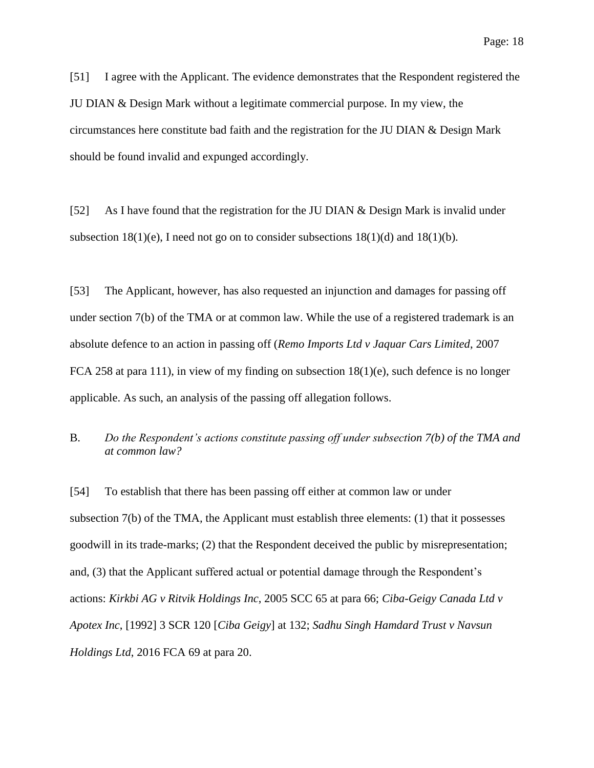[51] I agree with the Applicant. The evidence demonstrates that the Respondent registered the JU DIAN & Design Mark without a legitimate commercial purpose. In my view, the circumstances here constitute bad faith and the registration for the JU DIAN & Design Mark should be found invalid and expunged accordingly.

[52] As I have found that the registration for the JU DIAN & Design Mark is invalid under subsection  $18(1)(e)$ , I need not go on to consider subsections  $18(1)(d)$  and  $18(1)(b)$ .

[53] The Applicant, however, has also requested an injunction and damages for passing off under section 7(b) of the TMA or at common law. While the use of a registered trademark is an absolute defence to an action in passing off (*Remo Imports Ltd v Jaquar Cars Limited*, 2007 FCA 258 at para 111), in view of my finding on subsection  $18(1)(e)$ , such defence is no longer applicable. As such, an analysis of the passing off allegation follows.

## B. *Do the Respondent's actions constitute passing off under subsection 7(b) of the TMA and at common law?*

[54] To establish that there has been passing off either at common law or under subsection 7(b) of the TMA*,* the Applicant must establish three elements: (1) that it possesses goodwill in its trade-marks; (2) that the Respondent deceived the public by misrepresentation; and, (3) that the Applicant suffered actual or potential damage through the Respondent's actions: *Kirkbi AG v Ritvik Holdings Inc*, 2005 SCC 65 at para 66; *Ciba-Geigy Canada Ltd v Apotex Inc*, [1992] 3 SCR 120 [*Ciba Geigy*] at 132; *Sadhu Singh Hamdard Trust v Navsun Holdings Ltd*, 2016 FCA 69 at para 20.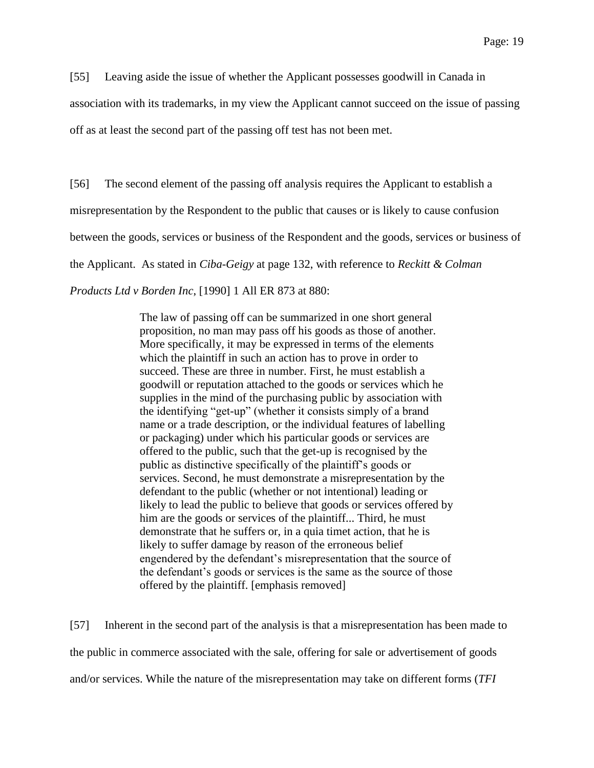[55] Leaving aside the issue of whether the Applicant possesses goodwill in Canada in association with its trademarks, in my view the Applicant cannot succeed on the issue of passing off as at least the second part of the passing off test has not been met.

[56] The second element of the passing off analysis requires the Applicant to establish a misrepresentation by the Respondent to the public that causes or is likely to cause confusion between the goods, services or business of the Respondent and the goods, services or business of the Applicant. As stated in *Ciba-Geigy* at page 132, with reference to *Reckitt & Colman Products Ltd v Borden Inc*, [1990] 1 All ER 873 at 880:

> The law of passing off can be summarized in one short general proposition, no man may pass off his goods as those of another. More specifically, it may be expressed in terms of the elements which the plaintiff in such an action has to prove in order to succeed. These are three in number. First, he must establish a goodwill or reputation attached to the goods or services which he supplies in the mind of the purchasing public by association with the identifying "get-up" (whether it consists simply of a brand name or a trade description, or the individual features of labelling or packaging) under which his particular goods or services are offered to the public, such that the get-up is recognised by the public as distinctive specifically of the plaintiff's goods or services. Second, he must demonstrate a misrepresentation by the defendant to the public (whether or not intentional) leading or likely to lead the public to believe that goods or services offered by him are the goods or services of the plaintiff... Third, he must demonstrate that he suffers or, in a quia timet action, that he is likely to suffer damage by reason of the erroneous belief engendered by the defendant's misrepresentation that the source of the defendant's goods or services is the same as the source of those offered by the plaintiff. [emphasis removed]

[57] Inherent in the second part of the analysis is that a misrepresentation has been made to the public in commerce associated with the sale, offering for sale or advertisement of goods and/or services. While the nature of the misrepresentation may take on different forms (*TFI*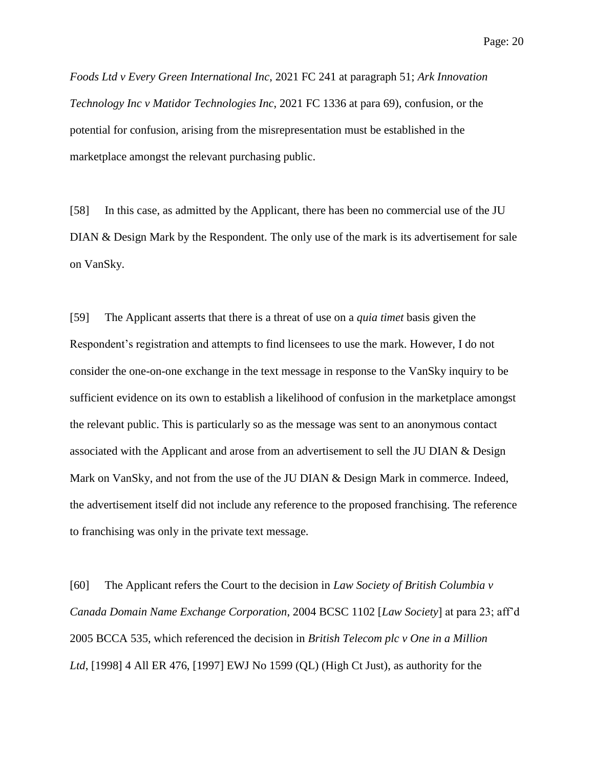*Foods Ltd v Every Green International Inc*, 2021 FC 241 at paragraph 51; *Ark Innovation Technology Inc v Matidor Technologies Inc*, 2021 FC 1336 at para 69), confusion, or the potential for confusion, arising from the misrepresentation must be established in the marketplace amongst the relevant purchasing public.

[58] In this case, as admitted by the Applicant, there has been no commercial use of the JU DIAN & Design Mark by the Respondent. The only use of the mark is its advertisement for sale on VanSky.

[59] The Applicant asserts that there is a threat of use on a *quia timet* basis given the Respondent's registration and attempts to find licensees to use the mark. However, I do not consider the one-on-one exchange in the text message in response to the VanSky inquiry to be sufficient evidence on its own to establish a likelihood of confusion in the marketplace amongst the relevant public. This is particularly so as the message was sent to an anonymous contact associated with the Applicant and arose from an advertisement to sell the JU DIAN & Design Mark on VanSky, and not from the use of the JU DIAN & Design Mark in commerce. Indeed, the advertisement itself did not include any reference to the proposed franchising. The reference to franchising was only in the private text message.

[60] The Applicant refers the Court to the decision in *Law Society of British Columbia v Canada Domain Name Exchange Corporation*, 2004 BCSC 1102 [*Law Society*] at para 23; aff'd 2005 BCCA 535, which referenced the decision in *British Telecom plc v One in a Million Ltd*, [1998] 4 All ER 476, [1997] EWJ No 1599 (QL) (High Ct Just), as authority for the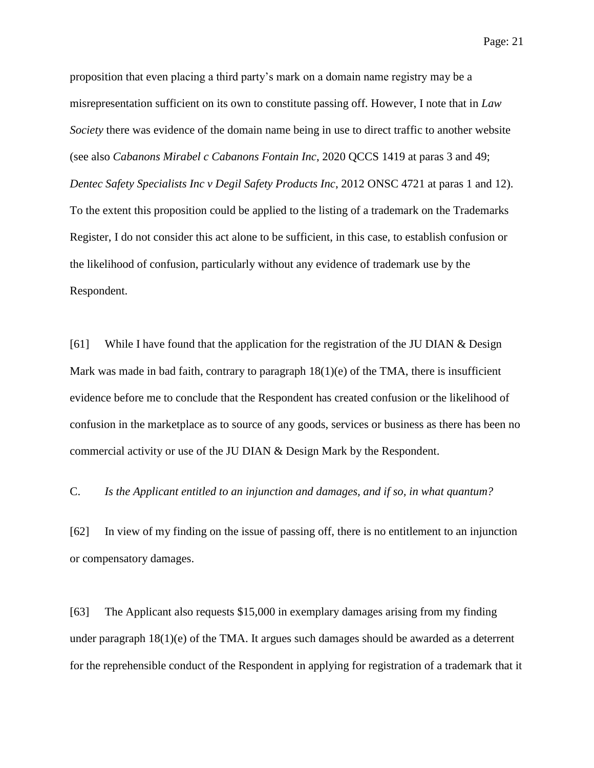Page: 21

proposition that even placing a third party's mark on a domain name registry may be a misrepresentation sufficient on its own to constitute passing off. However, I note that in *Law Society* there was evidence of the domain name being in use to direct traffic to another website (see also *Cabanons Mirabel c Cabanons Fontain Inc*, 2020 QCCS 1419 at paras 3 and 49; *Dentec Safety Specialists Inc v Degil Safety Products Inc*, 2012 ONSC 4721 at paras 1 and 12). To the extent this proposition could be applied to the listing of a trademark on the Trademarks Register, I do not consider this act alone to be sufficient, in this case, to establish confusion or the likelihood of confusion, particularly without any evidence of trademark use by the Respondent.

[61] While I have found that the application for the registration of the JU DIAN & Design Mark was made in bad faith, contrary to paragraph  $18(1)(e)$  of the TMA, there is insufficient evidence before me to conclude that the Respondent has created confusion or the likelihood of confusion in the marketplace as to source of any goods, services or business as there has been no commercial activity or use of the JU DIAN & Design Mark by the Respondent.

C. *Is the Applicant entitled to an injunction and damages, and if so, in what quantum?* 

[62] In view of my finding on the issue of passing off, there is no entitlement to an injunction or compensatory damages.

[63] The Applicant also requests \$15,000 in exemplary damages arising from my finding under paragraph  $18(1)(e)$  of the TMA. It argues such damages should be awarded as a deterrent for the reprehensible conduct of the Respondent in applying for registration of a trademark that it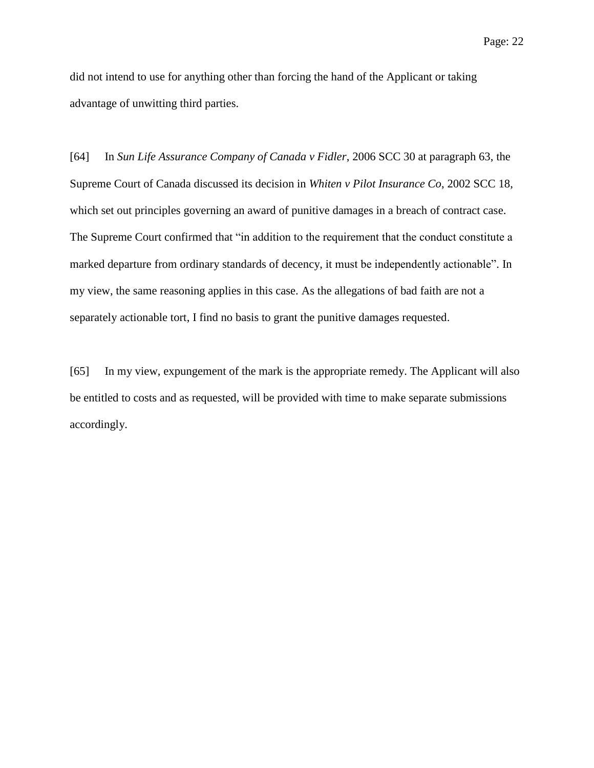did not intend to use for anything other than forcing the hand of the Applicant or taking advantage of unwitting third parties.

[64] In *Sun Life Assurance Company of Canada v Fidler*, 2006 SCC 30 at paragraph 63, the Supreme Court of Canada discussed its decision in *Whiten v Pilot Insurance Co*, 2002 SCC 18, which set out principles governing an award of punitive damages in a breach of contract case. The Supreme Court confirmed that "in addition to the requirement that the conduct constitute a marked departure from ordinary standards of decency, it must be independently actionable". In my view, the same reasoning applies in this case. As the allegations of bad faith are not a separately actionable tort, I find no basis to grant the punitive damages requested.

[65] In my view, expungement of the mark is the appropriate remedy. The Applicant will also be entitled to costs and as requested, will be provided with time to make separate submissions accordingly.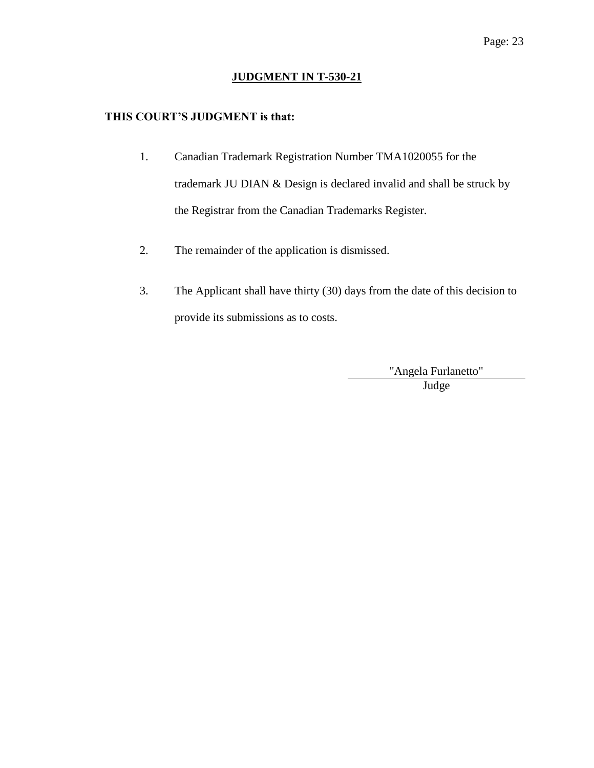### **JUDGMENT IN T-530-21**

### **THIS COURT'S JUDGMENT is that:**

- 1. Canadian Trademark Registration Number TMA1020055 for the trademark JU DIAN & Design is declared invalid and shall be struck by the Registrar from the Canadian Trademarks Register.
- 2. The remainder of the application is dismissed.
- 3. The Applicant shall have thirty (30) days from the date of this decision to provide its submissions as to costs.

"Angela Furlanetto"

Judge